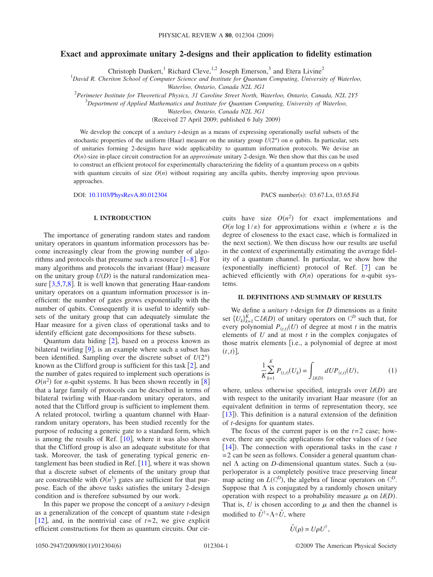# **Exact and approximate unitary 2-designs and their application to fidelity estimation**

Christoph Dankert,<sup>1</sup> Richard Cleve,<sup>1,2</sup> Joseph Emerson,<sup>3</sup> and Etera Livine<sup>2</sup>

1 *David R. Cheriton School of Computer Science and Institute for Quantum Computing, University of Waterloo,*

*Waterloo, Ontario, Canada N2L 3G1*

2 *Perimeter Institute for Theoretical Physics, 31 Caroline Street North, Waterloo, Ontario, Canada, N2L 2Y5*

3 *Department of Applied Mathematics and Institute for Quantum Computing, University of Waterloo,*

*Waterloo, Ontario, Canada N2L 3G1*

Received 27 April 2009; published 6 July 2009-

We develop the concept of a *unitary t*-design as a means of expressing operationally useful subsets of the stochastic properties of the uniform (Haar) measure on the unitary group  $U(2^n)$  on *n* qubits. In particular, sets of unitaries forming 2-designs have wide applicability to quantum information protocols. We devise an  $O(n)$ -size in-place circuit construction for an *approximate* unitary 2-design. We then show that this can be used to construct an efficient protocol for experimentally characterizing the fidelity of a quantum process on *n* qubits with quantum circuits of size  $O(n)$  without requiring any ancilla qubits, thereby improving upon previous approaches.

DOI: [10.1103/PhysRevA.80.012304](http://dx.doi.org/10.1103/PhysRevA.80.012304)

#### **I. INTRODUCTION**

The importance of generating random states and random unitary operators in quantum information processors has become increasingly clear from the growing number of algorithms and protocols that presume such a resource  $\lceil 1-8 \rceil$  $\lceil 1-8 \rceil$  $\lceil 1-8 \rceil$ . For many algorithms and protocols the invariant (Haar) measure on the unitary group  $U(D)$  is the natural randomization measure  $\lceil 3,5,7,8 \rceil$  $\lceil 3,5,7,8 \rceil$  $\lceil 3,5,7,8 \rceil$  $\lceil 3,5,7,8 \rceil$  $\lceil 3,5,7,8 \rceil$  $\lceil 3,5,7,8 \rceil$ . It is well known that generating Haar-random unitary operators on a quantum information processor is inefficient: the number of gates grows exponentially with the number of qubits. Consequently it is useful to identify subsets of the unitary group that can adequately simulate the Haar measure for a given class of operational tasks and to identify efficient gate decompositions for these subsets.

Quantum data hiding  $[2]$  $[2]$  $[2]$ , based on a process known as bilateral twirling  $[9]$  $[9]$  $[9]$ , is an example where such a subset has been identified. Sampling over the discrete subset of  $U(2^n)$ known as the Clifford group is sufficient for this task  $[2]$  $[2]$  $[2]$ , and the number of gates required to implement such operations is  $O(n^2)$  for *n*-qubit systems. It has been shown recently in [[8](#page-5-1)] that a large family of protocols can be described in terms of bilateral twirling with Haar-random unitary operators, and noted that the Clifford group is sufficient to implement them. A related protocol, twirling a quantum channel with Haarrandom unitary operators, has been studied recently for the purpose of reducing a generic gate to a standard form, which is among the results of Ref.  $[10]$  $[10]$  $[10]$ , where it was also shown that the Clifford group is also an adequate substitute for that task. Moreover, the task of generating typical generic entanglement has been studied in Ref.  $[11]$  $[11]$  $[11]$ , where it was shown that a discrete subset of elements of the unitary group that are constructible with  $O(n^3)$  gates are sufficient for that purpose. Each of the above tasks satisfies the unitary 2-design condition and is therefore subsumed by our work.

In this paper we propose the concept of a *unitary t*-design as a generalization of the concept of quantum state *t*-design [[12](#page-5-9)], and, in the nontrivial case of  $t=2$ , we give explicit efficient constructions for them as quantum circuits. Our cirPACS number(s): 03.67.Lx, 03.65.Fd

cuits have size  $O(n^2)$  for exact implementations and  $O(n \log 1/\varepsilon)$  for approximations within  $\varepsilon$  (where  $\varepsilon$  is the degree of closeness to the exact case, which is formalized in the next section). We then discuss how our results are useful in the context of experimentally estimating the average fidelity of a quantum channel. In particular, we show how the (exponentially inefficient) protocol of Ref.  $[7]$  $[7]$  $[7]$  can be achieved efficiently with  $O(n)$  operations for *n*-qubit systems.

#### **II. DEFINITIONS AND SUMMARY OF RESULTS**

We define a *unitary t*-design for *D* dimensions as a finite set  $\{U_k\}_{k=1}^K \subset \mathcal{U}(D)$  of unitary operators on  $\mathbb{C}^D$  such that, for every polynomial  $P_{(t,t)}(U)$  of degree at most *t* in the matrix elements of *U* and at most *t* in the complex conjugates of those matrix elements *[i.e., a polynomial of degree at most*  $(t,t)$ ],

$$
\frac{1}{K} \sum_{k=1}^{K} P_{(t,t)}(U_k) = \int_{\mathcal{U}(D)} dU P_{(t,t)}(U), \tag{1}
$$

<span id="page-0-0"></span>where, unless otherwise specified, integrals over  $U(D)$  are with respect to the unitarily invariant Haar measure (for an equivalent definition in terms of representation theory, see [[13](#page-5-10)]). This definition is a natural extension of the definition of *t*-designs for quantum states.

The focus of the current paper is on the  $t=2$  case; however, there are specific applications for other values of  $t$  (see [[14](#page-5-11)]). The connection with operational tasks in the case *t*  $= 2$  can be seen as follows. Consider a general quantum channel  $\Lambda$  acting on *D*-dimensional quantum states. Such a (super)operator is a completely positive trace preserving linear map acting on  $L(\mathbb{C}^D)$ , the algebra of linear operators on  $\mathbb{C}^D$ . Suppose that  $\Lambda$  is conjugated by a randomly chosen unitary operation with respect to a probability measure  $\mu$  on  $U(D)$ . That is,  $U$  is chosen according to  $\mu$  and then the channel is modified to  $\hat{U}^{\dagger} \circ \Lambda \circ \hat{U}$ , where

$$
\hat{U}(\rho) = U\rho U^{\dagger},
$$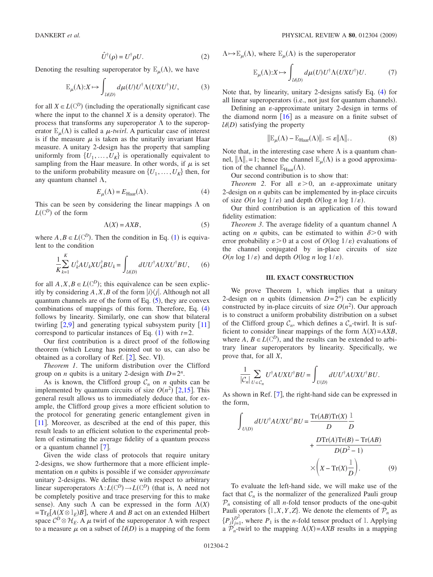$$
\hat{U}^{\dagger}(\rho) = U^{\dagger} \rho U. \tag{2}
$$

Denoting the resulting superoperator by  $\mathbb{E}_{\mu}(\Lambda)$ , we have

$$
\mathbb{E}_{\mu}(\Lambda) : X \mapsto \int_{\mathcal{U}(D)} d\mu(U) U^{\dagger} \Lambda(UXU^{\dagger}) U, \tag{3}
$$

for all  $X \in L(\mathbb{C}^D)$  (including the operationally significant case where the input to the channel  $X$  is a density operator). The process that transforms any superoperator  $\Lambda$  to the superoperator  $\mathbb{E}_{\mu}(\Lambda)$  is called a  $\mu$ -*twirl*. A particular case of interest is if the measure  $\mu$  is taken as the unitarily invariant Haar measure. A unitary 2-design has the property that sampling uniformly from  $\{U_1, \ldots, U_K\}$  is operationally equivalent to sampling from the Haar measure. In other words, if  $\mu$  is set to the uniform probability measure on  $\{U_1, \ldots, U_K\}$  then, for any quantum channel  $\Lambda$ ,

$$
E_{\mu}(\Lambda) = E_{\text{Haar}}(\Lambda). \tag{4}
$$

<span id="page-1-1"></span>This can be seen by considering the linear mappings  $\Lambda$  on  $L(\mathbb{C}^D)$  of the form

$$
\Lambda(X) = AXB,\tag{5}
$$

<span id="page-1-0"></span>where  $A, B \in L(\mathbb{C}^D)$ . Then the condition in Eq. ([1](#page-0-0)) is equivalent to the condition

$$
\frac{1}{K} \sum_{k=1}^{K} U_{k}^{\dagger} A U_{k} X U_{k}^{\dagger} B U_{k} = \int_{\mathcal{U}(D)} dU U^{\dagger} A U X U^{\dagger} B U, \qquad (6)
$$

for all  $A, X, B \in L(\mathbb{C}^D)$ ; this equivalence can be seen explicitly by considering  $A, X, B$  of the form  $|i\rangle\langle j|$ . Although not all quantum channels are of the form of Eq.  $(5)$  $(5)$  $(5)$ , they are convex combinations of mappings of this form. Therefore, Eq.  $(4)$  $(4)$  $(4)$ follows by linearity. Similarly, one can show that bilateral twirling  $\lceil 2.9 \rceil$  $\lceil 2.9 \rceil$  $\lceil 2.9 \rceil$  and generating typical subsystem purity  $\lceil 11 \rceil$  $\lceil 11 \rceil$  $\lceil 11 \rceil$ correspond to particular instances of Eq.  $(1)$  $(1)$  $(1)$  with  $t=2$ .

Our first contribution is a direct proof of the following theorem (which Leung has pointed out to us, can also be obtained as a corollary of Ref. [[2](#page-5-5)], Sec. VI).

*Theorem 1*. The uniform distribution over the Clifford group on *n* qubits is a unitary 2-design with  $D=2^n$ .

As is known, the Clifford group  $C_n$  on *n* qubits can be implemented by quantum circuits of size  $O(n^2)$  [[2,](#page-5-5)[15](#page-5-12)]. This general result allows us to immediately deduce that, for example, the Clifford group gives a more efficient solution to the protocol for generating generic entanglement given in [[11](#page-5-8)]. Moreover, as described at the end of this paper, this result leads to an efficient solution to the experimental problem of estimating the average fidelity of a quantum process or a quantum channel  $[7]$  $[7]$  $[7]$ .

Given the wide class of protocols that require unitary 2-designs, we show furthermore that a more efficient implementation on *n* qubits is possible if we consider *approximate* unitary 2-designs. We define these with respect to arbitrary linear superoperators  $\Lambda: L(\mathbb{C}^D) \to L(\mathbb{C}^D)$  (that is,  $\Lambda$  need not be completely positive and trace preserving for this to make sense). Any such  $\Lambda$  can be expressed in the form  $\Lambda(X)$  $=Tr_E[A(X \otimes 1_E)B]$ , where *A* and *B* act on an extended Hilbert space  $C^D \otimes \mathcal{H}_E$ . A  $\mu$  twirl of the superoperator  $\Lambda$  with respect to a measure  $\mu$  on a subset of  $U(D)$  is a mapping of the form

 $\Lambda \mapsto \mathbb{E}_{\mu}(\Lambda)$ , where  $\mathbb{E}_{\mu}(\Lambda)$  is the superoperator

$$
\mathbb{E}_{\mu}(\Lambda) : X \mapsto \int_{\mathcal{U}(D)} d\mu(U) U^{\dagger} \Lambda(UXU^{\dagger}) U. \tag{7}
$$

Note that, by linearity, unitary 2-designs satisfy Eq. ([4](#page-1-1)) for all linear superoperators (i.e., not just for quantum channels).

Defining an  $\varepsilon$ -approximate unitary 2-design in terms of the diamond norm  $\lceil 16 \rceil$  $\lceil 16 \rceil$  $\lceil 16 \rceil$  as a measure on a finite subset of  $U(D)$  satisfying the property

$$
\|\mathbb{E}_{\mu}(\Lambda) - \mathbb{E}_{\text{Haar}}(\Lambda)\|_{\diamond} \le \varepsilon \|\Lambda\|_{\diamond}.
$$
 (8)

Note that, in the interesting case where  $\Lambda$  is a quantum channel,  $\|\Lambda\|_{\infty} = 1$ ; hence the channel  $\mathbb{E}_{\mu}(\Lambda)$  is a good approximation of the channel  $\mathbb{E}_{\text{Haar}}(\Lambda)$ .

Our second contribution is to show that:

*Theorem 2.* For all  $\varepsilon > 0$ , an  $\varepsilon$ -approximate unitary 2-design on *n* qubits can be implemented by in-place circuits of size  $O(n \log 1/\varepsilon)$  and depth  $O(\log n \log 1/\varepsilon)$ .

Our third contribution is an application of this toward fidelity estimation:

*Theorem 3.* The average fidelity of a quantum channel  $\Lambda$ acting on *n* qubits, can be estimated to within  $\delta$  > 0 with error probability  $\varepsilon > 0$  at a cost of  $O(\log 1/\varepsilon)$  evaluations of the channel conjugated by in-place circuits of size  $O(n \log 1/\varepsilon)$  and depth  $O(\log n \log 1/\varepsilon)$ .

### **III. EXACT CONSTRUCTION**

We prove Theorem 1, which implies that a unitary 2-design on *n* qubits (dimension  $D=2^n$ ) can be explicitly constructed by in-place circuits of size  $O(n^2)$ . Our approach is to construct a uniform probability distribution on a subset of the Clifford group  $C_n$ , which defines a  $C_n$ -twirl. It is sufficient to consider linear mappings of the form  $\Lambda(X) = AXB$ , where  $A, B \in L(\mathbb{C}^D)$ , and the results can be extended to arbitrary linear superoperators by linearity. Specifically, we prove that, for all *X*,

$$
\frac{1}{|\mathcal{C}_n|} \sum_{U \in \mathcal{C}_n} U^{\dagger} A U X U^{\dagger} B U = \int_{U(D)} dU U^{\dagger} A U X U^{\dagger} B U.
$$

As shown in Ref.  $[7]$  $[7]$  $[7]$ , the right-hand side can be expressed in the form,

<span id="page-1-2"></span>
$$
\int_{U(D)} dU U^{\dagger} A U X U^{\dagger} B U = \frac{\text{Tr}(AB) \text{Tr}(X)}{D} \frac{1}{D}
$$

$$
+ \frac{D \text{Tr}(A) \text{Tr}(B) - \text{Tr}(AB)}{D(D^2 - 1)}
$$

$$
\times \left(X - \text{Tr}(X) \frac{1}{D}\right). \tag{9}
$$

To evaluate the left-hand side, we will make use of the fact that  $C_n$  is the normalizer of the generalized Pauli group  $P_n$  consisting of all *n*-fold tensor products of the one-qubit Pauli operators  $\{1, X, Y, Z\}$ . We denote the elements of  $\mathcal{P}_n$  as  ${P_j}_{j=1}^{D^2}$ , where  $P_1$  is the *n*-fold tensor product of 1. Applying a  $\mathcal{P}_n$ -twirl to the mapping  $\Lambda(X) = AXB$  results in a mapping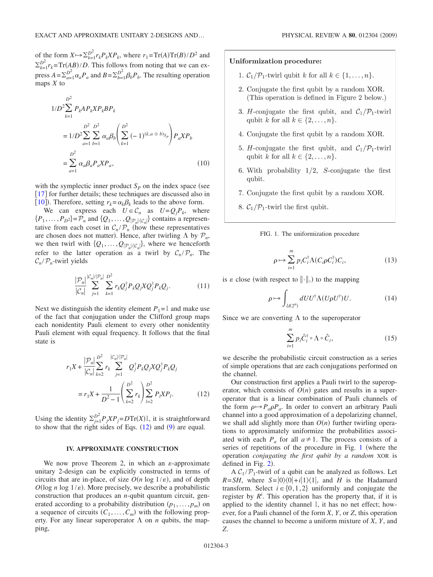of the form  $X \mapsto \sum_{k=1}^{D^2} r_k P_k X P_k$ , where  $r_1 = \text{Tr}(A) \text{Tr}(B) / D^2$  and  $\sum_{k=1}^{D^2} r_k = \text{Tr}(AB)/D$ . This follows from noting that we can express  $A = \sum_{a=1}^{D^2} \alpha_a P_a$  and  $B = \sum_{b=1}^{D^2} \beta_b P_b$ . The resulting operation maps *X* to

<span id="page-2-2"></span>
$$
1/D^2 \sum_{k=1}^{D^2} P_k A P_k X P_k B P_k
$$
  
=  $1/D^2 \sum_{a=1}^{D^2} \sum_{b=1}^{D^2} \alpha_a \beta_b \left( \sum_{k=1}^{D^2} (-1)^{(k, a \oplus b)_{S_p}} \right) P_a X P_b$   
=  $\sum_{a=1}^{D^2} \alpha_a \beta_a P_a X P_a$ , (10)

with the symplectic inner product  $S_p$  on the index space (see [[17](#page-5-14)] for further details; these techniques are discussed also in [[10](#page-5-7)]). Therefore, setting  $r_k = \alpha_k \beta_k$  leads to the above form.

We can express each  $U \in \mathcal{C}_n$  as  $U = Q_j P_k$ , where  $\{P_1, \ldots, P_{D^2}\} = \mathcal{P}_n$  and  $\{Q_1, \ldots, Q_{|\mathcal{P}_n|/|\mathcal{C}_n|}\}$  contains a representative from each coset in  $C_n/\mathcal{P}_n$  (how these representatives are chosen does not matter). Hence, after twirling  $\Lambda$  by  $\mathcal{P}_n$ , we then twirl with  $\{Q_1, \ldots, Q_{|\mathcal{P}_n|/|\mathcal{C}_n|}\}$ , where we henceforth refer to the latter operation as a twirl by  $C_n / P_n$ . The  $C_n/P_n$ -twirl yields

$$
\frac{|\mathcal{P}_n|}{|\mathcal{C}_n|} \sum_{j=1}^{|\mathcal{C}_n|/|\mathcal{P}_n|} \sum_{k=1}^{D^2} r_k Q_j^{\dagger} P_k Q_j X Q_j^{\dagger} P_k Q_j. \tag{11}
$$

Next we distinguish the identity element  $P_1 = 1$  and make use of the fact that conjugation under the Clifford group maps each nonidentity Pauli element to every other nonidentity Pauli element with equal frequency. It follows that the final state is

<span id="page-2-0"></span>
$$
r_1 X + \frac{|\mathcal{P}_n|}{|\mathcal{C}_n|} \sum_{k=2}^{D^2} r_k \sum_{j=1}^{|\mathcal{C}_n|/|\mathcal{P}_n|} Q_j^{\dagger} P_k Q_j X Q_j^{\dagger} P_k Q_j
$$

$$
= r_1 X + \frac{1}{D^2 - 1} \left( \sum_{k=2}^{D^2} r_k \right) \sum_{l=2}^{D^2} P_l X P_l. \tag{12}
$$

Using the identity  $\sum_{j=1}^{D^2} P_j X P_j = D \text{Tr}(X) \mathbb{I}$ , it is straightforward to show that the right sides of Eqs.  $(12)$  $(12)$  $(12)$  and  $(9)$  $(9)$  $(9)$  are equal.

### **IV. APPROXIMATE CONSTRUCTION**

We now prove Theorem 2, in which an  $\varepsilon$ -approximate unitary 2-design can be explicitly constructed in terms of circuits that are in-place, of size  $O(n \log 1/\varepsilon)$ , and of depth  $O(\log n \log 1/\epsilon)$ . More precisely, we describe a probabilistic construction that produces an *n*-qubit quantum circuit, generated according to a probability distribution  $(p_1, \ldots, p_m)$  on a sequence of circuits  $(C_1, \ldots, C_m)$  with the following property. For any linear superoperator  $\Lambda$  on *n* qubits, the mapping,

### <span id="page-2-1"></span>Uniformization procedure:

- 1.  $C_1/\mathcal{P}_1$ -twirl qubit k for all  $k \in \{1,\ldots,n\}$ .
- 2. Conjugate the first qubit by a random XOR. (This operation is defined in Figure 2 below.)
- 3. H-conjugate the first qubit, and  $C_1/P_1$ -twirl qubit k for all  $k \in \{2, ..., n\}$ .
- 4. Conjugate the first qubit by a random XOR.
- 5. H-conjugate the first qubit, and  $C_1/P_1$ -twirl qubit k for all  $k \in \{2, ..., n\}$ .
- 6. With probability  $1/2$ , S-conjugate the first qubit.
- 7. Conjugate the first qubit by a random XOR.
- 8.  $C_1/P_1$ -twirl the first qubit.

FIG. 1. The uniformization procedure

$$
\rho \mapsto \sum_{i=1}^{m} p_i C_i^{\dagger} \Lambda(C_i \rho C_i^{\dagger}) C_i, \tag{13}
$$

is  $\varepsilon$  close (with respect to  $\|\cdot\|_{\lozenge}$ ) to the mapping

$$
\rho \mapsto \int_{\mathcal{U}(2^n)} dU U^{\dagger} \Lambda (U \rho U^{\dagger}) U. \tag{14}
$$

Since we are converting  $\Lambda$  to the superoperator

$$
\sum_{i=1}^{m} p_i \hat{C}_i^{\dagger} \circ \Lambda \circ \hat{C}_i, \tag{15}
$$

we describe the probabilistic circuit construction as a series of simple operations that are each conjugations performed on the channel.

Our construction first applies a Pauli twirl to the superoperator, which consists of  $O(n)$  gates and results in a superoperator that is a linear combination of Pauli channels of the form  $\rho \mapsto P_a \rho P_a$ . In order to convert an arbitrary Pauli channel into a good approximation of a depolarizing channel, we shall add slightly more than  $O(n)$  further twirling operations to approximately uniformize the probabilities associated with each  $P_a$  for all  $a \ne 1$ . The process consists of a series of repetitions of the procedure in Fig. [1](#page-2-1) (where the operation *conjugating the first qubit by a random* XOR is defined in Fig.  $2$ ).

A  $C_1/P_1$ -twirl of a qubit can be analyzed as follows. Let  $R = SH$ , where  $S = |0\rangle\langle0| + i|1\rangle\langle1|$ , and *H* is the Hadamard transform. Select  $i \in \{0,1,2\}$  uniformly and conjugate the register by  $R^i$ . This operation has the property that, if it is applied to the identity channel 1, it has no net effect; however, for a Pauli channel of the form *X*, *Y*, or *Z*, this operation causes the channel to become a uniform mixture of *X*, *Y*, and *Z*.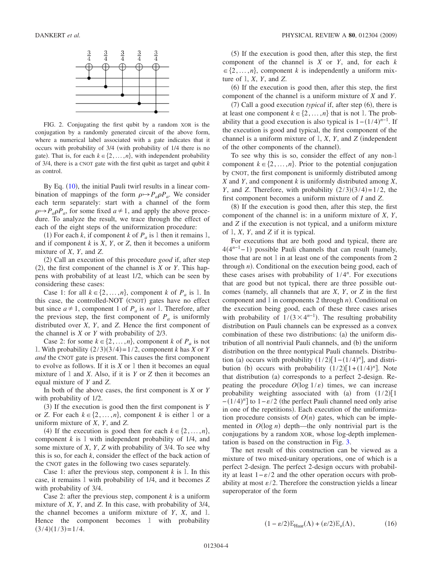<span id="page-3-0"></span>

FIG. 2. Conjugating the first qubit by a random XOR is the conjugation by a randomly generated circuit of the above form, where a numerical label associated with a gate indicates that it occurs with probability of 3/4 (with probability of 1/4 there is no gate). That is, for each  $k \in \{2, ..., n\}$ , with independent probability of 3/4, there is a CNOT gate with the first qubit as target and qubit *k* as control.

By Eq. ([10](#page-2-2)), the initial Pauli twirl results in a linear combination of mappings of the form  $\rho \rightarrow P_a \rho P_a$ . We consider each term separately: start with a channel of the form  $\rho \mapsto P_a \rho P_a$ , for some fixed  $a \neq 1$ , and apply the above procedure. To analyze the result, we trace through the effect of each of the eight steps of the uniformization procedure:

(1) For each *k*, if component *k* of  $P_a$  is 1 then it remains 1, and if component  $k$  is  $X$ ,  $Y$ , or  $Z$ , then it becomes a uniform mixture of *X*, *Y*, and *Z*.

(2) Call an execution of this procedure *good* if, after step  $(2)$ , the first component of the channel is *X* or *Y*. This happens with probability of at least 1/2, which can be seen by considering these cases:

Case 1: for all  $k \in \{2, ..., n\}$ , component *k* of  $P_a$  is 1. In this case, the controlled-NOT (CNOT) gates have no effect but since  $a \neq 1$ , component 1 of  $P_a$  is *not* 1. Therefore, after the previous step, the first component of  $P_a$  is uniformly distributed over *X*, *Y*, and *Z*. Hence the first component of the channel is *X* or *Y* with probability of 2/3.

Case 2: for some  $k \in \{2, ..., n\}$ , component *k* of  $P_a$  is not 1. With probability  $(2/3)(3/4) = 1/2$ , component *k* has *X* or *Y and* the CNOT gate is present. This causes the first component to evolve as follows. If it is  $X$  or  $\mathbb{I}$  then it becomes an equal mixture of 1 and *X*. Also, if it is *Y* or *Z* then it becomes an equal mixture of *Y* and *Z*.

In both of the above cases, the first component is *X* or *Y* with probability of  $1/2$ .

(3) If the execution is good then the first component is *Y* or *Z*. For each  $k \in \{2, ..., n\}$ , component *k* is either 1 or a uniform mixture of *X*, *Y*, and *Z*.

(4) If the execution is good then for each  $k \in \{2, ..., n\}$ , component  $k$  is  $l$  with independent probability of  $1/4$ , and some mixture of *X*, *Y*, *Z* with probability of 3/4. To see why this is so, for each *k*, consider the effect of the back action of the CNOT gates in the following two cases separately.

Case 1: after the previous step, component  $k$  is  $\mathbb{I}$ . In this case, it remains 1 with probability of 1/4, and it becomes *Z* with probability of 3/4.

Case 2: after the previous step, component *k* is a uniform mixture of *X*, *Y*, and *Z*. In this case, with probability of 3/4, the channel becomes a uniform mixture of *Y*, *X*, and 1. Hence the component becomes 1 with probability  $(3/4)(1/3)=1/4.$ 

(5) If the execution is good then, after this step, the first component of the channel is *X* or *Y*, and, for each *k*  $\in \{2,\ldots,n\}$ , component *k* is independently a uniform mixture of 1, *X*, *Y*, and *Z*.

(6) If the execution is good then, after this step, the first component of the channel is a uniform mixture of *X* and *Y*.

 $(7)$  Call a good execution *typical* if, after step  $(6)$ , there is at least one component  $k \in \{2, ..., n\}$  that is not 1. The probability that a good execution is also typical is  $1 - (1/4)^{n-1}$ . If the execution is good and typical, the first component of the channel is a uniform mixture of  $\mathbb{I}$ , *X*, *Y*, and *Z* (independent of the other components of the channel).

To see why this is so, consider the effect of any non-1 component  $k \in \{2, ..., n\}$ . Prior to the potential conjugation by CNOT, the first component is uniformly distributed among *X* and *Y*, and component *k* is uniformly distributed among *X*, *Y*, and *Z*. Therefore, with probability  $(2/3)(3/4)=1/2$ , the first component becomes a uniform mixture of *I* and *Z*.

(8) If the execution is good then, after this step, the first component of the channel is: in a uniform mixture of *X*, *Y*, and *Z* if the execution is not typical, and a uniform mixture of 1, *X*, *Y*, and *Z* if it is typical.

For executions that are both good and typical, there are 4(4<sup>n-1</sup>-1) possible Pauli channels that can result (namely, those that are not  $1$  in at least one of the components from  $2$ through  $n$ ). Conditional on the execution being good, each of these cases arises with probability of 1/4*<sup>n</sup>* . For executions that are good but not typical, there are three possible outcomes (namely, all channels that are *X*, *Y*, or *Z* in the first component and  $l$  in components 2 through  $n$ ). Conditional on the execution being good, each of these three cases arises with probability of  $1/(3 \times 4^{n-1})$ . The resulting probability distribution on Pauli channels can be expressed as a convex combination of these two distributions: (a) the uniform distribution of all nontrivial Pauli channels, and (b) the uniform distribution on the three nontypical Pauli channels. Distribution (a) occurs with probability  $(1/2)[1-(1/4)^n]$ , and distribution (b) occurs with probability  $(1/2)[1+(1/4)^n]$ . Note that distribution (a) corresponds to a perfect 2-design. Repeating the procedure  $O(\log 1/\epsilon)$  times, we can increase probability weighting associated with (a) from  $(1/2)$ [1]  $-(1/4)^n$ ] to  $1-\varepsilon/2$  (the perfect Pauli channel need only arise in one of the repetitions). Each execution of the uniformization procedure consists of  $O(n)$  gates, which can be implemented in  $O(\log n)$  depth—the only nontrivial part is the conjugations by a random XOR, whose log-depth implementation is based on the construction in Fig. [3.](#page-4-0)

The net result of this construction can be viewed as a mixture of two mixed-unitary operations, one of which is a perfect 2-design. The perfect 2-design occurs with probability at least  $1-\varepsilon/2$  and the other operation occurs with probability at most  $\varepsilon/2$ . Therefore the construction yields a linear superoperator of the form

$$
(1 - \varepsilon/2) \mathbb{E}_{\text{Haar}}(\Lambda) + (\varepsilon/2) \mathbb{E}_{\nu}(\Lambda), \tag{16}
$$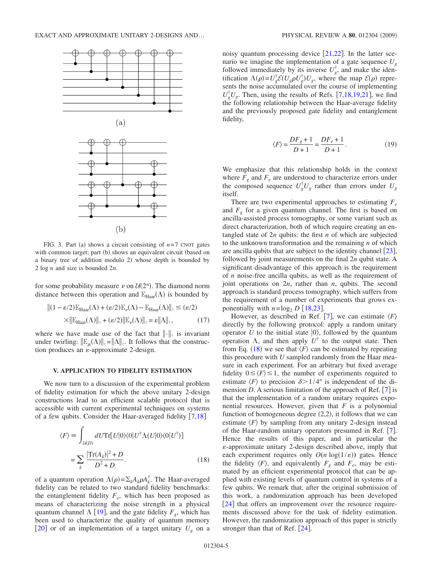<span id="page-4-0"></span>

FIG. 3. Part (a) shows a circuit consisting of  $n=7$  CNOT gates with common target; part (b) shows an equivalent circuit (based on a binary tree of addition modulo 2) whose depth is bounded by 2 log *n* and size is bounded 2*n*.

for some probability measure  $\nu$  on  $\mathcal{U}(2^n)$ . The diamond norm distance between this operation and  $\mathbb{E}_{\text{Haar}}(\Lambda)$  is bounded by

$$
\|(1 - \varepsilon/2)\mathbb{E}_{\text{Haar}}(\Lambda) + (\varepsilon/2)\mathbb{E}_{\nu}(\Lambda) - \mathbb{E}_{\text{Haar}}(\Lambda)\|_{\diamond} \leq (\varepsilon/2)
$$
  
 
$$
\times \|\mathbb{E}_{\text{Haar}}(\Lambda)\|_{\diamond} + (\varepsilon/2)\|\mathbb{E}_{\nu}(\Lambda)\|_{\diamond} = \varepsilon \|\Lambda\|_{\diamond}, \tag{17}
$$

where we have made use of the fact that  $\|\cdot\|_{\diamond}$  is invariant under twirling:  $\|\mathbb{E}_{\mu}(\Lambda)\|_{\diamond} = \|\Lambda\|_{\diamond}$ . It follows that the construction produces an  $\varepsilon$ -approximate 2-design.

#### **V. APPLICATION TO FIDELITY ESTIMATION**

We now turn to a discussion of the experimental problem of fidelity estimation for which the above unitary 2-design constructions lead to an efficient scalable protocol that is accessible with current experimental techniques on systems of a few qubits. Consider the Haar-averaged fidelity  $[7,18]$  $[7,18]$  $[7,18]$  $[7,18]$ 

<span id="page-4-1"></span>
$$
\langle F \rangle \equiv \int_{\mathcal{U}(D)} dU \text{Tr}[U|0\rangle\langle 0|U^{\dagger} \Lambda(U|0\rangle\langle 0|U^{\dagger})]
$$

$$
= \sum_{k} \frac{|\text{Tr}(A_k)|^2 + D}{D^2 + D}.
$$
(18)

of a quantum operation  $\Lambda(\rho) = \sum_k A_k \rho A_k^{\dagger}$ . The Haar-averaged fidelity can be related to two standard fidelity benchmarks: the entanglement fidelity  $F_e$ , which has been proposed as means of characterizing the noise strength in a physical quantum channel  $\Lambda$  [[19](#page-5-16)], and the gate fidelity  $F_g$ , which has been used to characterize the quality of quantum memory [[20](#page-5-17)] or of an implementation of a target unitary  $U<sub>g</sub>$  on a

noisy quantum processing device  $[21,22]$  $[21,22]$  $[21,22]$  $[21,22]$ . In the latter scenario we imagine the implementation of a gate sequence  $U<sub>g</sub>$ followed immediately by its inverse  $U_g^{\dagger}$ , and make the identification  $\Lambda(\rho) = U_g^{\dagger} \mathcal{E}(U_g \rho U_g^{\dagger}) U_g$ , where the map  $\mathcal{E}(\rho)$  represents the noise accumulated over the course of implementing  $U_g^{\dagger} U_g$ . Then, using the results of Refs. [[7,](#page-5-4)[18,](#page-5-15)[19,](#page-5-16)[21](#page-5-18)], we find the following relationship between the Haar-average fidelity and the previously proposed gate fidelity and entanglement fidelity,

$$
\langle F \rangle = \frac{DF_g + 1}{D + 1} = \frac{DF_e + 1}{D + 1}.
$$
 (19)

We emphasize that this relationship holds in the context where  $F_{\varrho}$  and  $F_{e}$  are understood to characterize errors under the composed sequence  $U_g^{\dagger} U_g$  rather than errors under  $U_g$ itself.

There are two experimental approaches to estimating  $F_e$ and  $F<sub>g</sub>$  for a given quantum channel. The first is based on ancilla-assisted process tomography, or some variant such as direct characterization, both of which require creating an entangled state of 2*n* qubits: the first *n* of which are subjected to the unknown transformation and the remaining *n* of which are ancilla qubits that are subject to the identity channel  $\lceil 23 \rceil$  $\lceil 23 \rceil$  $\lceil 23 \rceil$ , followed by joint measurements on the final 2*n* qubit state. A significant disadvantage of this approach is the requirement of *n* noise-free ancilla qubits, as well as the requirement of joint operations on 2*n*, rather than *n*, qubits. The second approach is standard process tomography, which suffers from the requirement of a number of experiments that grows exponentially with  $n = \log_2 D$  [[18,](#page-5-15)[23](#page-5-20)].

However, as described in Ref. [[7](#page-5-4)], we can estimate  $\langle F \rangle$ directly by the following protocol: apply a random unitary operator U to the initial state  $|0\rangle$ , followed by the quantum operation  $\Lambda$ , and then apply  $U^{\dagger}$  to the output state. Then from Eq. ([18](#page-4-1)) we see that  $\langle F \rangle$  can be estimated by repeating this procedure with *U* sampled randomly from the Haar measure in each experiment. For an arbitrary but fixed average fidelity  $0 \leq \langle F \rangle \leq 1$ , the number of experiments required to estimate  $\langle F \rangle$  to precision  $\delta > 1/4^n$  is independent of the dimension *D*. A serious limitation of the approach of Ref.  $[7]$  $[7]$  $[7]$  is that the implementation of a random unitary requires exponential resources. However, given that *F* is a polynomial function of homogeneous degree  $(2,2)$ , it follows that we can estimate  $\langle F \rangle$  by sampling from any unitary 2-design instead of the Haar-random unitary operators presumed in Ref.  $[7]$  $[7]$  $[7]$ . Hence the results of this paper, and in particular the -approximate unitary 2-design described above, imply that each experiment requires only  $O(n \log(1/\epsilon))$  gates. Hence the fidelity  $\langle F \rangle$ , and equivalently  $F_g$  and  $F_e$ , may be estimated by an efficient experimental protocol that can be applied with existing levels of quantum control in systems of a few qubits. We remark that, after the original submission of this work, a randomization approach has been developed [[24](#page-5-21)] that offers an improvement over the resource requirements discussed above for the task of fidelity estimation. However, the randomization approach of this paper is strictly stronger than that of Ref.  $[24]$  $[24]$  $[24]$ .